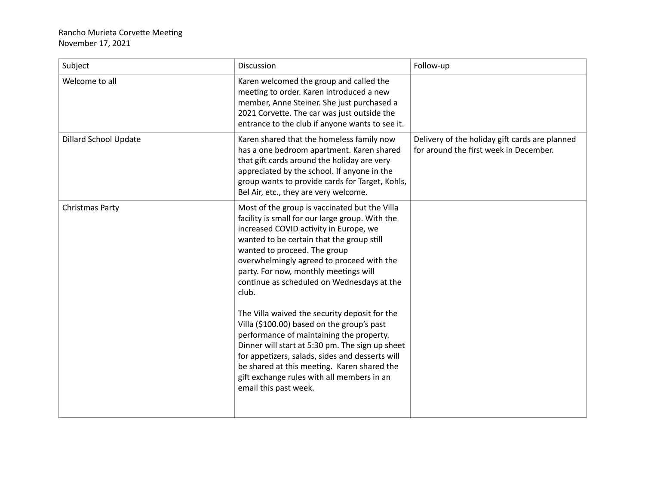## Rancho Murieta Corvette Meeting November 17, 2021

| Subject                      | Discussion                                                                                                                                                                                                                                                                                                                                                                                                                                                                                                                                                                                                                                                                                                                                  | Follow-up                                                                                |
|------------------------------|---------------------------------------------------------------------------------------------------------------------------------------------------------------------------------------------------------------------------------------------------------------------------------------------------------------------------------------------------------------------------------------------------------------------------------------------------------------------------------------------------------------------------------------------------------------------------------------------------------------------------------------------------------------------------------------------------------------------------------------------|------------------------------------------------------------------------------------------|
| Welcome to all               | Karen welcomed the group and called the<br>meeting to order. Karen introduced a new<br>member, Anne Steiner. She just purchased a<br>2021 Corvette. The car was just outside the<br>entrance to the club if anyone wants to see it.                                                                                                                                                                                                                                                                                                                                                                                                                                                                                                         |                                                                                          |
| <b>Dillard School Update</b> | Karen shared that the homeless family now<br>has a one bedroom apartment. Karen shared<br>that gift cards around the holiday are very<br>appreciated by the school. If anyone in the<br>group wants to provide cards for Target, Kohls,<br>Bel Air, etc., they are very welcome.                                                                                                                                                                                                                                                                                                                                                                                                                                                            | Delivery of the holiday gift cards are planned<br>for around the first week in December. |
| Christmas Party              | Most of the group is vaccinated but the Villa<br>facility is small for our large group. With the<br>increased COVID activity in Europe, we<br>wanted to be certain that the group still<br>wanted to proceed. The group<br>overwhelmingly agreed to proceed with the<br>party. For now, monthly meetings will<br>continue as scheduled on Wednesdays at the<br>club.<br>The Villa waived the security deposit for the<br>Villa (\$100.00) based on the group's past<br>performance of maintaining the property.<br>Dinner will start at 5:30 pm. The sign up sheet<br>for appetizers, salads, sides and desserts will<br>be shared at this meeting. Karen shared the<br>gift exchange rules with all members in an<br>email this past week. |                                                                                          |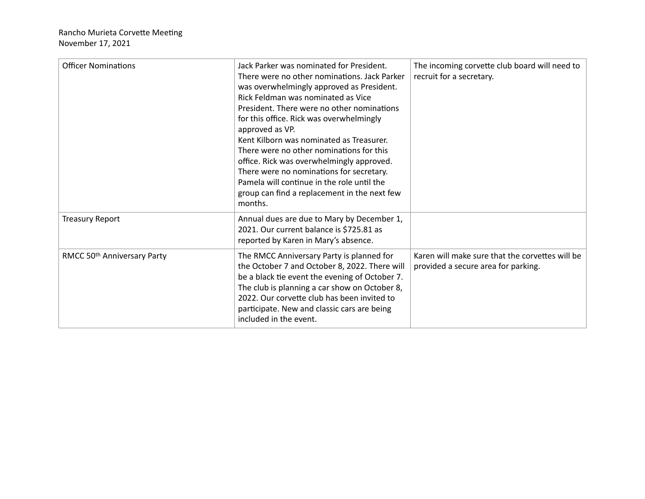| <b>Officer Nominations</b>  | Jack Parker was nominated for President.<br>There were no other nominations. Jack Parker<br>was overwhelmingly approved as President.<br>Rick Feldman was nominated as Vice<br>President. There were no other nominations<br>for this office. Rick was overwhelmingly<br>approved as VP.<br>Kent Kilborn was nominated as Treasurer.<br>There were no other nominations for this<br>office. Rick was overwhelmingly approved.<br>There were no nominations for secretary.<br>Pamela will continue in the role until the<br>group can find a replacement in the next few<br>months. | The incoming corvette club board will need to<br>recruit for a secretary.              |
|-----------------------------|------------------------------------------------------------------------------------------------------------------------------------------------------------------------------------------------------------------------------------------------------------------------------------------------------------------------------------------------------------------------------------------------------------------------------------------------------------------------------------------------------------------------------------------------------------------------------------|----------------------------------------------------------------------------------------|
| <b>Treasury Report</b>      | Annual dues are due to Mary by December 1,<br>2021. Our current balance is \$725.81 as<br>reported by Karen in Mary's absence.                                                                                                                                                                                                                                                                                                                                                                                                                                                     |                                                                                        |
| RMCC 50th Anniversary Party | The RMCC Anniversary Party is planned for<br>the October 7 and October 8, 2022. There will<br>be a black tie event the evening of October 7.<br>The club is planning a car show on October 8,<br>2022. Our corvette club has been invited to<br>participate. New and classic cars are being<br>included in the event.                                                                                                                                                                                                                                                              | Karen will make sure that the corvettes will be<br>provided a secure area for parking. |